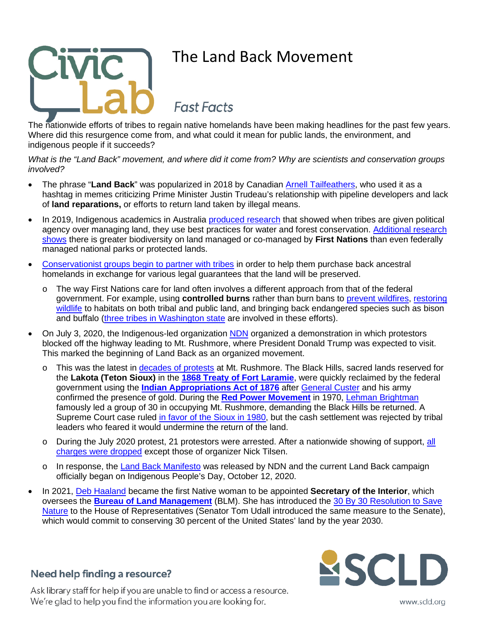

# The Land Back Movement

**Fast Facts** 

The nationwide efforts of tribes to regain native homelands have been making headlines for the past few years. Where did this resurgence come from, and what could it mean for public lands, the environment, and indigenous people if it succeeds?

*What is the "Land Back" movement, and where did it come from? Why are scientists and conservation groups involved?*

- The phrase "Land Back" was popularized in 2018 by Canadian Arnell Tailfeathers, who used it as a hashtag in memes criticizing Prime Minister Justin Trudeau's relationship with pipeline developers and lack of **land reparations,** or efforts to return land taken by illegal means.
- In 2019, Indigenous academics in Australia produced research that showed when tribes are given political agency over managing land, they use best practices for water and forest conservation. Additional research shows there is greater biodiversity on land managed or co-managed by **First Nations** than even federally managed national parks or protected lands.
- Conservationist groups begin to partner with tribes in order to help them purchase back ancestral homelands in exchange for various legal guarantees that the land will be preserved.
	- o The way First Nations care for land often involves a different approach from that of the federal government. For example, using **controlled burns** rather than burn bans to prevent wildfires, restoring wildlife to habitats on both tribal and public land, and bringing back endangered species such as bison and buffalo (three tribes in Washington state are involved in these efforts).
- On July 3, 2020, the Indigenous-led organization NDN organized a demonstration in which protestors blocked off the highway leading to Mt. Rushmore, where President Donald Trump was expected to visit. This marked the beginning of Land Back as an organized movement.
	- o This was the latest in decades of protests at Mt. Rushmore. The Black Hills, sacred lands reserved for the **Lakota (Teton Sioux)** in the **1868 Treaty of Fort Laramie**, were quickly reclaimed by the federal government using the **Indian Appropriations Act of 1876** after General Custer and his army confirmed the presence of gold. During the **Red Power Movement** in 1970, Lehman Brightman famously led a group of 30 in occupying Mt. Rushmore, demanding the Black Hills be returned. A Supreme Court case ruled in favor of the Sioux in 1980, but the cash settlement was rejected by tribal leaders who feared it would undermine the return of the land.
	- o During the July 2020 protest, 21 protestors were arrested. After a nationwide showing of support, all charges were dropped except those of organizer Nick Tilsen.
	- o In response, the Land Back Manifesto was released by NDN and the current Land Back campaign officially began on Indigenous People's Day, October 12, 2020.
- In 2021, Deb Haaland became the first Native woman to be appointed **Secretary of the Interior**, which oversees the **Bureau of Land Management** (BLM). She has introduced the 30 By 30 Resolution to Save Nature to the House of Representatives (Senator Tom Udall introduced the same measure to the Senate), which would commit to conserving 30 percent of the United States' land by the year 2030.

### Need help finding a resource?

Ask library staff for help if you are unable to find or access a resource. We're glad to help you find the information you are looking for.



www.scld.org